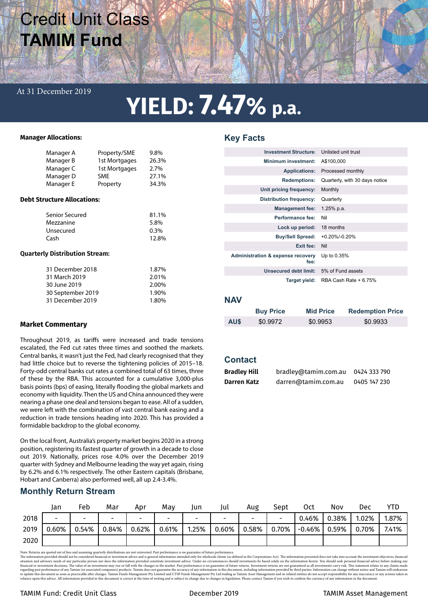# Credit Unit Class **TAMIM Fund**

# At 31 December 2019

# **YIELD: 7.47% p.a.**

### **Manager Allocations:**

| Manager A<br>Manager B<br>Manager C<br>Manager D<br>Manager E                              | Property/SME<br>1st Mortgages<br>1st Mortgages<br><b>SME</b><br>Property | 9.8%<br>26.3%<br>2.7%<br>27.1%<br>34.3%   |  |  |  |  |  |  |
|--------------------------------------------------------------------------------------------|--------------------------------------------------------------------------|-------------------------------------------|--|--|--|--|--|--|
| <b>Debt Structure Allocations:</b>                                                         |                                                                          |                                           |  |  |  |  |  |  |
| Senior Secured<br>Mezzanine<br>Unsecured<br>Cash                                           |                                                                          | 81.1%<br>5.8%<br>$0.3\%$<br>12.8%         |  |  |  |  |  |  |
| <b>Quarterly Distribution Stream:</b>                                                      |                                                                          |                                           |  |  |  |  |  |  |
| 31 December 2018<br>31 March 2019<br>30 June 2019<br>30 September 2019<br>31 December 2019 |                                                                          | 1.87%<br>2.01%<br>2.00%<br>1.90%<br>1.80% |  |  |  |  |  |  |

## **Market Commentary**

Throughout 2019, as tariffs were increased and trade tensions escalated, the Fed cut rates three times and soothed the markets. Central banks, it wasn't just the Fed, had clearly recognised that they had little choice but to reverse the tightening policies of 2015–18. Forty-odd central banks cut rates a combined total of 63 times, three of these by the RBA. This accounted for a cumulative 3,000-plus basis points (bps) of easing, literally flooding the global markets and economy with liquidity. Then the US and China announced they were nearing a phase one deal and tensions began to ease. All of a sudden, we were left with the combination of vast central bank easing and a reduction in trade tensions heading into 2020. This has provided a formidable backdrop to the global economy.

On the local front, Australia's property market begins 2020 in a strong position, registering its fastest quarter of growth in a decade to close out 2019. Nationally, prices rose 4.0% over the December 2019 quarter with Sydney and Melbourne leading the way yet again, rising by 6.2% and 6.1% respectively. The other Eastern capitals (Brisbane, Hobart and Canberra) also performed well, all up 2.4-3.4%.

# **Monthly Return Stream**

|      | Jan                      | Feb                      | Mar                      | Apr                      | Mav                      | Jun   | Jul                      | Aug   | Sept                     | Oct       | Nov   | Dec   | YTD   |
|------|--------------------------|--------------------------|--------------------------|--------------------------|--------------------------|-------|--------------------------|-------|--------------------------|-----------|-------|-------|-------|
| 2018 | $\overline{\phantom{0}}$ | $\overline{\phantom{0}}$ | $\overline{\phantom{a}}$ | $\overline{\phantom{a}}$ | $\overline{\phantom{0}}$ | -     | $\overline{\phantom{a}}$ |       | $\overline{\phantom{0}}$ | 0.46%     | 0.38% | .02%  | 1.87% |
| 2019 | $0.60\%$                 | 0.54%                    | 0.84%                    | 0.62%                    | 0.61%                    | 1.25% | $0.60\%$                 | 0.58% | 0.70%                    | $-0.46\%$ | 0.59% | 0.70% | 7.41% |
| 2020 |                          |                          |                          |                          |                          |       |                          |       |                          |           |       |       |       |

Note: Returns are quoted net of res and assuming quarterly distributions are not reinvested. Past performance is no guarante of future performance, in the distribution are advisory needs on to the investment objectives, fi

# **Key Facts**

| <b>Investment Structure:</b>                         | Unlisted unit trust            |
|------------------------------------------------------|--------------------------------|
| Minimum investment:                                  | A\$100,000                     |
| <b>Applications:</b>                                 | Processed monthly              |
| <b>Redemptions:</b>                                  | Quarterly, with 30 days notice |
| Unit pricing frequency:                              | Monthly                        |
| <b>Distribution frequency:</b>                       | Quarterly                      |
| <b>Management fee:</b>                               | 1.25% p.a.                     |
| Performance fee:                                     | Nil                            |
| Lock up period:                                      | 18 months                      |
| <b>Buy/Sell Spread:</b>                              | $+0.20\%$ /-0.20%              |
| Exit fee:                                            | Nil                            |
| <b>Administration &amp; expense recovery</b><br>fee: | Up to 0.35%                    |
| Unsecured debt limit:                                | 5% of Fund assets              |
| Target yield:                                        | RBA Cash Rate + 6.75%          |

## **NAV**

|      | <b>Buy Price</b> | <b>Mid Price</b> | <b>Redemption Price</b> |
|------|------------------|------------------|-------------------------|
| AU\$ | \$0.9972         | \$0.9953         | \$0.9933                |

# **Contact**

| <b>Bradley Hill</b> | bradley@tamim.com.au | 0424 333 790 |
|---------------------|----------------------|--------------|
| Darren Katz         | darren@tamim.com.au  | 0405 147 230 |